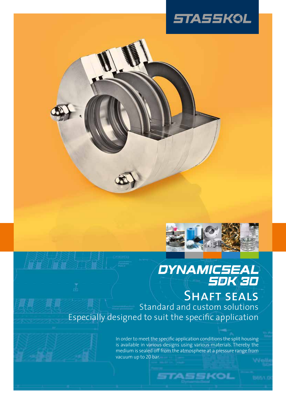



# DYNAMICSEAL<br>SDK 3D SHAFT SEALS Standard and custom solutions Especially designed to suit the specific application

In order to meet the specific application conditions the split housing is available in various designs using various materials. Thereby the medium is sealed off from the atmosphere at a pressure range from vacuum up to 20 bar.

**STASSKOL**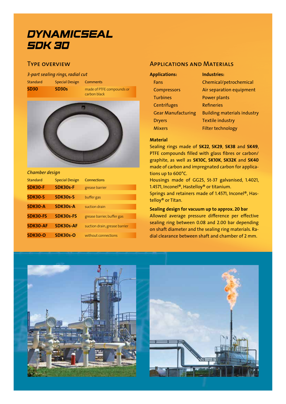# **DYNAMICSEAL SDK 30**

# Type overview

#### *3-part sealing rings, radial cut*

Standard Special Design Comments

**SD30 SD30s** made of PTFE compounds or carbon black



#### *Chamber design*

| <b>Standard</b> | <b>Special Design</b> | <b>Connections</b>            |
|-----------------|-----------------------|-------------------------------|
| <b>SDK30-F</b>  | SDK30s-F              | grease barrier                |
| <b>SDK30-S</b>  | SDK30s-S              | buffer gas                    |
| SDK30-A         | SDK30s-A              | suction drain                 |
| <b>SDK30-FS</b> | <b>SDK30s-FS</b>      | grease barrier, buffer gas    |
| <b>SDK30-AF</b> | <b>SDK30s-AF</b>      | suction drain, grease barrier |
| <b>SDK30-O</b>  | <b>SDK30s-O</b>       | without connections           |

## Applications and Materials

| <b>Applications:</b>      | <b>Industries:</b>                 |
|---------------------------|------------------------------------|
| Fans                      | Chemical/petrochemical             |
| Compressors               | Air separation equipment           |
| <b>Turbines</b>           | Power plants                       |
| <b>Centrifuges</b>        | <b>Refineries</b>                  |
| <b>Gear Manufacturing</b> | <b>Building materials industry</b> |
| <b>Dryers</b>             | <b>Textile industry</b>            |
| <b>Mixers</b>             | <b>Filter technology</b>           |

### **Material**

Sealing rings made of **SK22**, **SK29**, **SK38** and **SK49**, PTFE compounds filled with glass fibres or carbon/ graphite, as well as **SK10C**, **SK10K**, **SK32K** and **SK40** made of carbon and impregnated carbon for applications up to 600°C.

Housings made of GG25, St-37 galvanised, 1.4021, 1.4571, Inconel®, Hastelloy® or titanium.

Springs and retainers made of 1.4571, Inconel®, Hastelloy® or Titan.

#### **Sealing design for vacuum up to approx. 20 bar**

Allowed average pressure difference per effective sealing ring between 0.08 and 2.00 bar depending on shaft diameter and the sealing ring materials. Radial clearance between shaft and chamber of 2 mm.



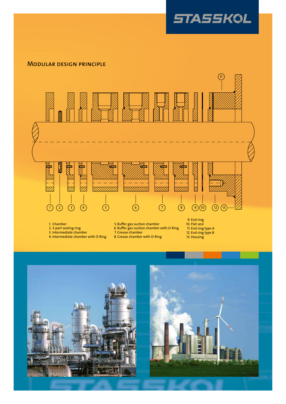

# Modular design principle



- 2. 3-part sealing ring
- 3. Intermediate chamber
- 4. Intermediate chamber with O-Ring

. 6 Buffer gas suction chamber with O-Ring

- . 7 Grease chamber
- . 8 Grease chamber with O-Ring

. . . 11 12 13 End ring type A End ring type B Housing